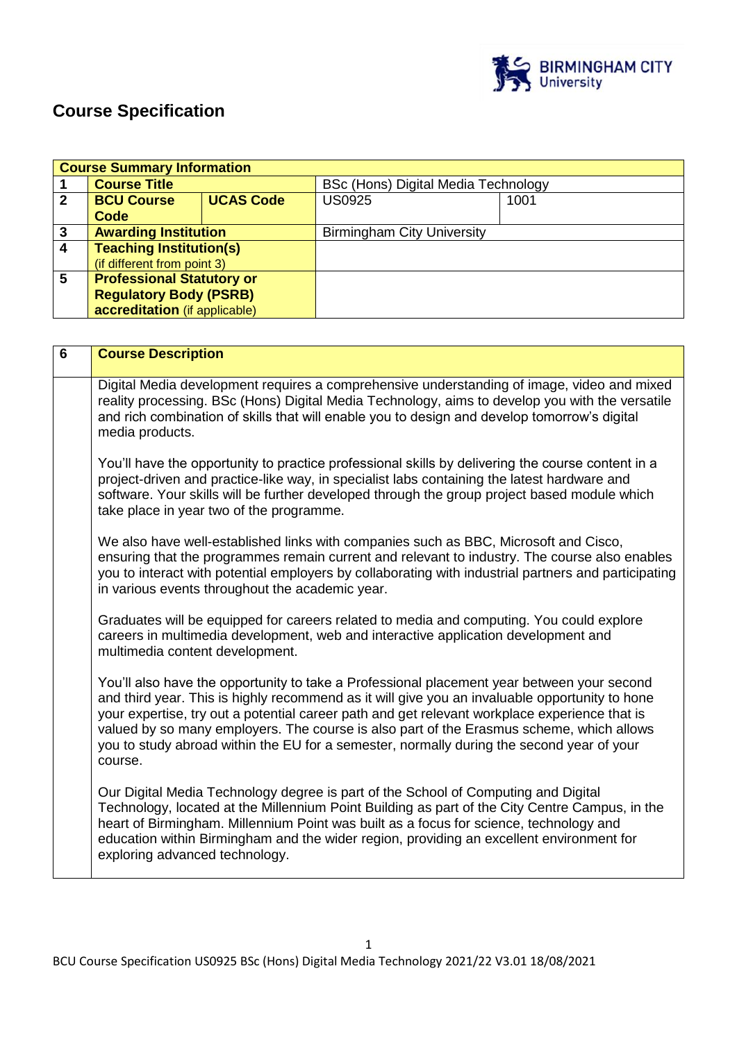

# **Course Specification**

|                | <b>Course Summary Information</b> |                  |                                     |      |
|----------------|-----------------------------------|------------------|-------------------------------------|------|
|                | <b>Course Title</b>               |                  | BSc (Hons) Digital Media Technology |      |
| $\mathbf{2}$   | <b>BCU Course</b>                 | <b>UCAS Code</b> | <b>US0925</b>                       | 1001 |
|                | Code                              |                  |                                     |      |
| 3              | <b>Awarding Institution</b>       |                  | <b>Birmingham City University</b>   |      |
| $\overline{4}$ | <b>Teaching Institution(s)</b>    |                  |                                     |      |
|                | (if different from point 3)       |                  |                                     |      |
| 5              | <b>Professional Statutory or</b>  |                  |                                     |      |
|                | <b>Regulatory Body (PSRB)</b>     |                  |                                     |      |
|                | accreditation (if applicable)     |                  |                                     |      |

| $6\phantom{1}$ | <b>Course Description</b>                                                                                                                                                                                                                                                                                                                                                                                                                                                                         |
|----------------|---------------------------------------------------------------------------------------------------------------------------------------------------------------------------------------------------------------------------------------------------------------------------------------------------------------------------------------------------------------------------------------------------------------------------------------------------------------------------------------------------|
|                | Digital Media development requires a comprehensive understanding of image, video and mixed<br>reality processing. BSc (Hons) Digital Media Technology, aims to develop you with the versatile<br>and rich combination of skills that will enable you to design and develop tomorrow's digital<br>media products.                                                                                                                                                                                  |
|                | You'll have the opportunity to practice professional skills by delivering the course content in a<br>project-driven and practice-like way, in specialist labs containing the latest hardware and<br>software. Your skills will be further developed through the group project based module which<br>take place in year two of the programme.                                                                                                                                                      |
|                | We also have well-established links with companies such as BBC, Microsoft and Cisco,<br>ensuring that the programmes remain current and relevant to industry. The course also enables<br>you to interact with potential employers by collaborating with industrial partners and participating<br>in various events throughout the academic year.                                                                                                                                                  |
|                | Graduates will be equipped for careers related to media and computing. You could explore<br>careers in multimedia development, web and interactive application development and<br>multimedia content development.                                                                                                                                                                                                                                                                                 |
|                | You'll also have the opportunity to take a Professional placement year between your second<br>and third year. This is highly recommend as it will give you an invaluable opportunity to hone<br>your expertise, try out a potential career path and get relevant workplace experience that is<br>valued by so many employers. The course is also part of the Erasmus scheme, which allows<br>you to study abroad within the EU for a semester, normally during the second year of your<br>course. |
|                | Our Digital Media Technology degree is part of the School of Computing and Digital<br>Technology, located at the Millennium Point Building as part of the City Centre Campus, in the<br>heart of Birmingham. Millennium Point was built as a focus for science, technology and<br>education within Birmingham and the wider region, providing an excellent environment for<br>exploring advanced technology.                                                                                      |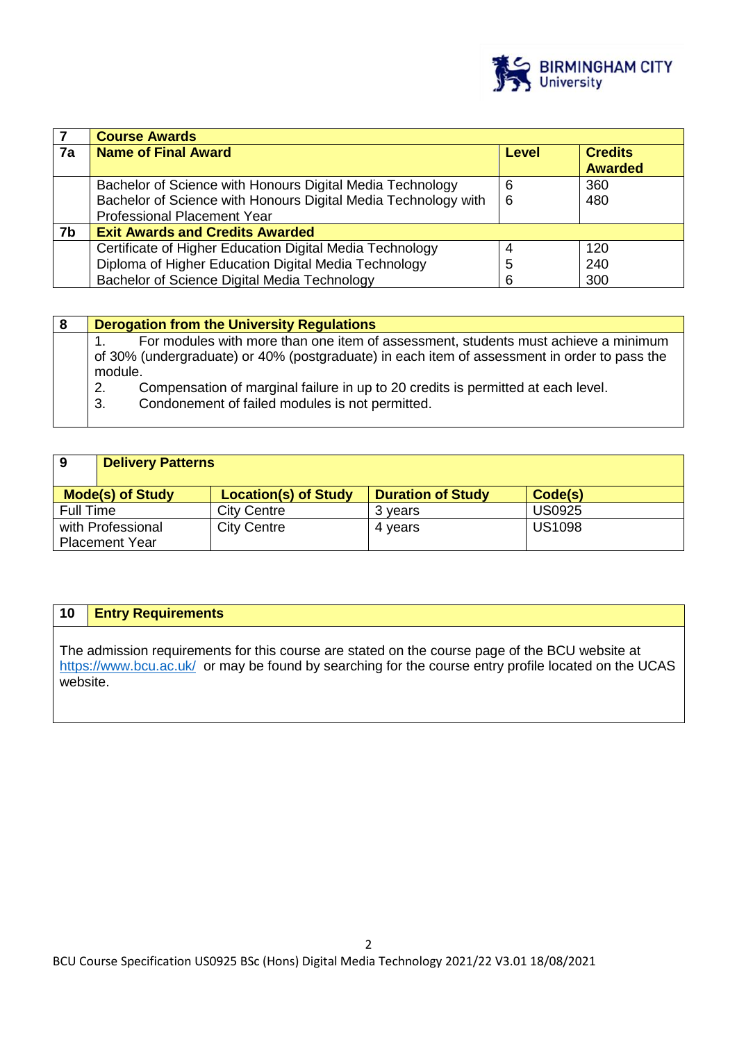

|    | <b>Course Awards</b>                                           |              |                                  |
|----|----------------------------------------------------------------|--------------|----------------------------------|
| 7a | <b>Name of Final Award</b>                                     | <b>Level</b> | <b>Credits</b><br><b>Awarded</b> |
|    | Bachelor of Science with Honours Digital Media Technology      | 6            | 360                              |
|    | Bachelor of Science with Honours Digital Media Technology with | 6            | 480                              |
|    | <b>Professional Placement Year</b>                             |              |                                  |
| 7b | <b>Exit Awards and Credits Awarded</b>                         |              |                                  |
|    | Certificate of Higher Education Digital Media Technology       | 4            | 120                              |
|    | Diploma of Higher Education Digital Media Technology           | 5            | 240                              |
|    | Bachelor of Science Digital Media Technology                   | 6            | 300                              |

| 8 | <b>Derogation from the University Regulations</b>                                                                                                                                             |
|---|-----------------------------------------------------------------------------------------------------------------------------------------------------------------------------------------------|
|   | For modules with more than one item of assessment, students must achieve a minimum<br>of 30% (undergraduate) or 40% (postgraduate) in each item of assessment in order to pass the<br>module. |
|   | Compensation of marginal failure in up to 20 credits is permitted at each level.<br>2.<br>Condonement of failed modules is not permitted.<br>3.                                               |

| 9                                          | <b>Delivery Patterns</b> |                             |                          |               |
|--------------------------------------------|--------------------------|-----------------------------|--------------------------|---------------|
|                                            | <b>Mode(s) of Study</b>  | <b>Location(s) of Study</b> | <b>Duration of Study</b> | Code(s)       |
| Full Time                                  |                          | <b>City Centre</b>          | 3 years                  | <b>US0925</b> |
| with Professional<br><b>Placement Year</b> |                          | <b>City Centre</b>          | 4 years                  | <b>US1098</b> |

# **10 Entry Requirements**

The admission requirements for this course are stated on the course page of the BCU website at <https://www.bcu.ac.uk/>or may be found by searching for the course entry profile located on the UCAS website.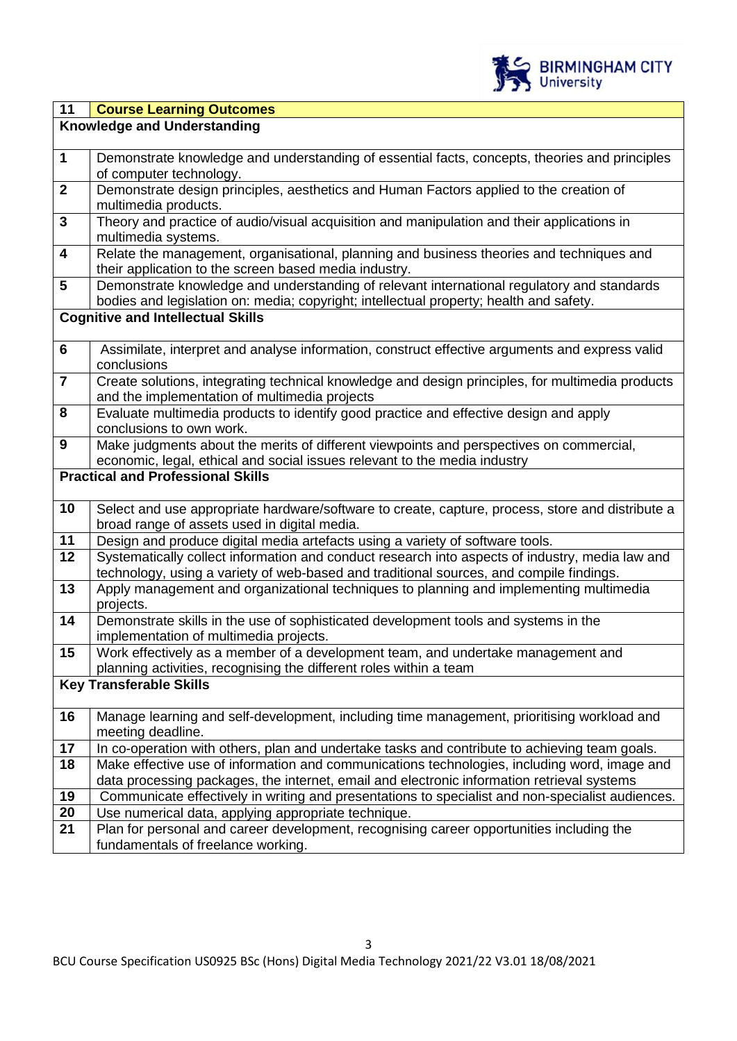

| 11                               | <b>Course Learning Outcomes</b>                                                                                                                                                                                                                                                                                                                                                                                                                                                                                                                                                                                                                                                                             |  |  |  |  |
|----------------------------------|-------------------------------------------------------------------------------------------------------------------------------------------------------------------------------------------------------------------------------------------------------------------------------------------------------------------------------------------------------------------------------------------------------------------------------------------------------------------------------------------------------------------------------------------------------------------------------------------------------------------------------------------------------------------------------------------------------------|--|--|--|--|
|                                  | <b>Knowledge and Understanding</b>                                                                                                                                                                                                                                                                                                                                                                                                                                                                                                                                                                                                                                                                          |  |  |  |  |
|                                  |                                                                                                                                                                                                                                                                                                                                                                                                                                                                                                                                                                                                                                                                                                             |  |  |  |  |
| $\mathbf 1$                      | Demonstrate knowledge and understanding of essential facts, concepts, theories and principles                                                                                                                                                                                                                                                                                                                                                                                                                                                                                                                                                                                                               |  |  |  |  |
|                                  | of computer technology.                                                                                                                                                                                                                                                                                                                                                                                                                                                                                                                                                                                                                                                                                     |  |  |  |  |
| $\mathbf{2}$                     | Demonstrate design principles, aesthetics and Human Factors applied to the creation of                                                                                                                                                                                                                                                                                                                                                                                                                                                                                                                                                                                                                      |  |  |  |  |
|                                  | multimedia products.                                                                                                                                                                                                                                                                                                                                                                                                                                                                                                                                                                                                                                                                                        |  |  |  |  |
| $\mathbf{3}$                     | Theory and practice of audio/visual acquisition and manipulation and their applications in                                                                                                                                                                                                                                                                                                                                                                                                                                                                                                                                                                                                                  |  |  |  |  |
|                                  | multimedia systems.                                                                                                                                                                                                                                                                                                                                                                                                                                                                                                                                                                                                                                                                                         |  |  |  |  |
| $\overline{\mathbf{4}}$          | Relate the management, organisational, planning and business theories and techniques and                                                                                                                                                                                                                                                                                                                                                                                                                                                                                                                                                                                                                    |  |  |  |  |
|                                  | their application to the screen based media industry.                                                                                                                                                                                                                                                                                                                                                                                                                                                                                                                                                                                                                                                       |  |  |  |  |
| $5\phantom{1}$                   | Demonstrate knowledge and understanding of relevant international regulatory and standards                                                                                                                                                                                                                                                                                                                                                                                                                                                                                                                                                                                                                  |  |  |  |  |
|                                  | bodies and legislation on: media; copyright; intellectual property; health and safety.                                                                                                                                                                                                                                                                                                                                                                                                                                                                                                                                                                                                                      |  |  |  |  |
|                                  | <b>Cognitive and Intellectual Skills</b>                                                                                                                                                                                                                                                                                                                                                                                                                                                                                                                                                                                                                                                                    |  |  |  |  |
| $6\phantom{1}$                   | Assimilate, interpret and analyse information, construct effective arguments and express valid                                                                                                                                                                                                                                                                                                                                                                                                                                                                                                                                                                                                              |  |  |  |  |
|                                  | conclusions                                                                                                                                                                                                                                                                                                                                                                                                                                                                                                                                                                                                                                                                                                 |  |  |  |  |
| $\overline{7}$                   | Create solutions, integrating technical knowledge and design principles, for multimedia products                                                                                                                                                                                                                                                                                                                                                                                                                                                                                                                                                                                                            |  |  |  |  |
|                                  | and the implementation of multimedia projects                                                                                                                                                                                                                                                                                                                                                                                                                                                                                                                                                                                                                                                               |  |  |  |  |
| 8                                | Evaluate multimedia products to identify good practice and effective design and apply                                                                                                                                                                                                                                                                                                                                                                                                                                                                                                                                                                                                                       |  |  |  |  |
|                                  | conclusions to own work.                                                                                                                                                                                                                                                                                                                                                                                                                                                                                                                                                                                                                                                                                    |  |  |  |  |
| 9                                | Make judgments about the merits of different viewpoints and perspectives on commercial,                                                                                                                                                                                                                                                                                                                                                                                                                                                                                                                                                                                                                     |  |  |  |  |
|                                  | economic, legal, ethical and social issues relevant to the media industry                                                                                                                                                                                                                                                                                                                                                                                                                                                                                                                                                                                                                                   |  |  |  |  |
|                                  | <b>Practical and Professional Skills</b>                                                                                                                                                                                                                                                                                                                                                                                                                                                                                                                                                                                                                                                                    |  |  |  |  |
|                                  |                                                                                                                                                                                                                                                                                                                                                                                                                                                                                                                                                                                                                                                                                                             |  |  |  |  |
| 10                               | Select and use appropriate hardware/software to create, capture, process, store and distribute a                                                                                                                                                                                                                                                                                                                                                                                                                                                                                                                                                                                                            |  |  |  |  |
|                                  | broad range of assets used in digital media.                                                                                                                                                                                                                                                                                                                                                                                                                                                                                                                                                                                                                                                                |  |  |  |  |
| 11                               | Design and produce digital media artefacts using a variety of software tools.                                                                                                                                                                                                                                                                                                                                                                                                                                                                                                                                                                                                                               |  |  |  |  |
| 12                               | Systematically collect information and conduct research into aspects of industry, media law and<br>technology, using a variety of web-based and traditional sources, and compile findings.                                                                                                                                                                                                                                                                                                                                                                                                                                                                                                                  |  |  |  |  |
| 13                               | Apply management and organizational techniques to planning and implementing multimedia                                                                                                                                                                                                                                                                                                                                                                                                                                                                                                                                                                                                                      |  |  |  |  |
|                                  | projects.                                                                                                                                                                                                                                                                                                                                                                                                                                                                                                                                                                                                                                                                                                   |  |  |  |  |
| 14                               | Demonstrate skills in the use of sophisticated development tools and systems in the                                                                                                                                                                                                                                                                                                                                                                                                                                                                                                                                                                                                                         |  |  |  |  |
|                                  | implementation of multimedia projects.                                                                                                                                                                                                                                                                                                                                                                                                                                                                                                                                                                                                                                                                      |  |  |  |  |
| 15                               | Work effectively as a member of a development team, and undertake management and                                                                                                                                                                                                                                                                                                                                                                                                                                                                                                                                                                                                                            |  |  |  |  |
|                                  | planning activities, recognising the different roles within a team                                                                                                                                                                                                                                                                                                                                                                                                                                                                                                                                                                                                                                          |  |  |  |  |
|                                  | <b>Key Transferable Skills</b>                                                                                                                                                                                                                                                                                                                                                                                                                                                                                                                                                                                                                                                                              |  |  |  |  |
|                                  |                                                                                                                                                                                                                                                                                                                                                                                                                                                                                                                                                                                                                                                                                                             |  |  |  |  |
|                                  |                                                                                                                                                                                                                                                                                                                                                                                                                                                                                                                                                                                                                                                                                                             |  |  |  |  |
|                                  |                                                                                                                                                                                                                                                                                                                                                                                                                                                                                                                                                                                                                                                                                                             |  |  |  |  |
|                                  |                                                                                                                                                                                                                                                                                                                                                                                                                                                                                                                                                                                                                                                                                                             |  |  |  |  |
|                                  |                                                                                                                                                                                                                                                                                                                                                                                                                                                                                                                                                                                                                                                                                                             |  |  |  |  |
|                                  |                                                                                                                                                                                                                                                                                                                                                                                                                                                                                                                                                                                                                                                                                                             |  |  |  |  |
|                                  |                                                                                                                                                                                                                                                                                                                                                                                                                                                                                                                                                                                                                                                                                                             |  |  |  |  |
|                                  |                                                                                                                                                                                                                                                                                                                                                                                                                                                                                                                                                                                                                                                                                                             |  |  |  |  |
|                                  |                                                                                                                                                                                                                                                                                                                                                                                                                                                                                                                                                                                                                                                                                                             |  |  |  |  |
| 16<br>17<br>18<br>19<br>20<br>21 | Manage learning and self-development, including time management, prioritising workload and<br>meeting deadline.<br>In co-operation with others, plan and undertake tasks and contribute to achieving team goals.<br>Make effective use of information and communications technologies, including word, image and<br>data processing packages, the internet, email and electronic information retrieval systems<br>Communicate effectively in writing and presentations to specialist and non-specialist audiences.<br>Use numerical data, applying appropriate technique.<br>Plan for personal and career development, recognising career opportunities including the<br>fundamentals of freelance working. |  |  |  |  |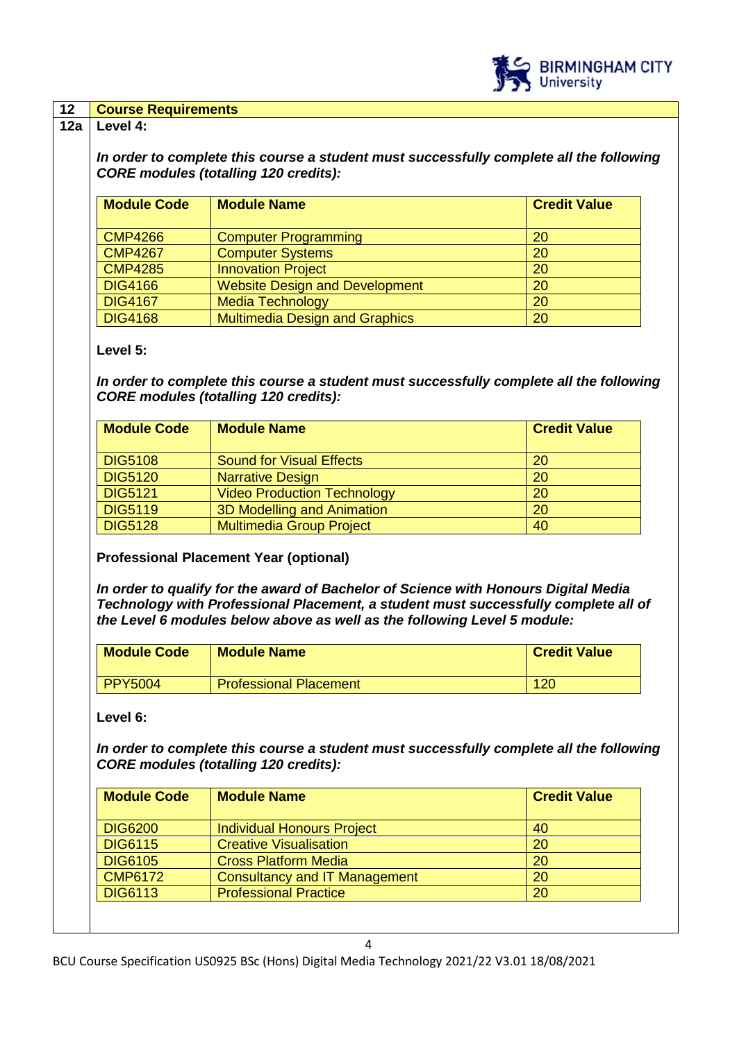

### **12 Course Requirements**

#### **12a Level 4:**

*In order to complete this course a student must successfully complete all the following CORE modules (totalling 120 credits):*

| <b>Module Code</b> | <b>Module Name</b>                    | <b>Credit Value</b> |
|--------------------|---------------------------------------|---------------------|
| <b>CMP4266</b>     | <b>Computer Programming</b>           | 20                  |
| <b>CMP4267</b>     | <b>Computer Systems</b>               | 20                  |
| <b>CMP4285</b>     | <b>Innovation Project</b>             | <b>20</b>           |
| <b>DIG4166</b>     | <b>Website Design and Development</b> | 20                  |
| <b>DIG4167</b>     | <b>Media Technology</b>               | 20                  |
| <b>DIG4168</b>     | <b>Multimedia Design and Graphics</b> | 20                  |

### **Level 5:**

*In order to complete this course a student must successfully complete all the following CORE modules (totalling 120 credits):*

| <b>Module Code</b> | <b>Module Name</b>                 | <b>Credit Value</b> |
|--------------------|------------------------------------|---------------------|
| <b>DIG5108</b>     | <b>Sound for Visual Effects</b>    | 20                  |
| <b>DIG5120</b>     | <b>Narrative Design</b>            | 20                  |
| <b>DIG5121</b>     | <b>Video Production Technology</b> | <b>20</b>           |
| <b>DIG5119</b>     | 3D Modelling and Animation         | <b>20</b>           |
| <b>DIG5128</b>     | <b>Multimedia Group Project</b>    | 40                  |

**Professional Placement Year (optional)**

*In order to qualify for the award of Bachelor of Science with Honours Digital Media Technology with Professional Placement, a student must successfully complete all of the Level 6 modules below above as well as the following Level 5 module:*

| <b>Module Code</b> | <b>Module Name</b>            | <b>Credit Value</b> |
|--------------------|-------------------------------|---------------------|
| PPY5004            | <b>Professional Placement</b> | 120                 |

**Level 6:**

*In order to complete this course a student must successfully complete all the following CORE modules (totalling 120 credits):*

| <b>Module Code</b> | <b>Module Name</b>                | <b>Credit Value</b> |
|--------------------|-----------------------------------|---------------------|
| <b>DIG6200</b>     | <b>Individual Honours Project</b> | 40                  |
| <b>DIG6115</b>     | <b>Creative Visualisation</b>     | 20                  |
| <b>DIG6105</b>     | <b>Cross Platform Media</b>       | 20                  |
| <b>CMP6172</b>     | Consultancy and IT Management     | 20                  |
| <b>DIG6113</b>     | <b>Professional Practice</b>      | 20                  |
|                    |                                   |                     |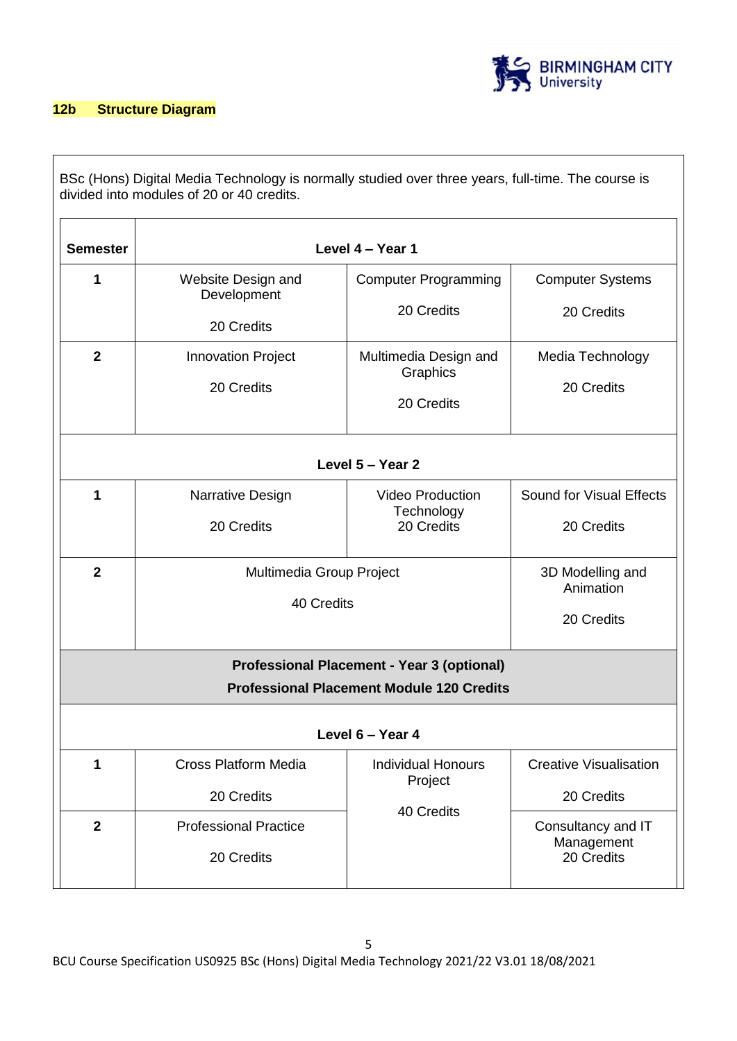

### **12b Structure Diagram**

BSc (Hons) Digital Media Technology is normally studied over three years, full-time. The course is divided into modules of 20 or 40 credits.

| <b>Semester</b> |                                                 | Level 4 - Year 1                                    |                                                |  |  |  |
|-----------------|-------------------------------------------------|-----------------------------------------------------|------------------------------------------------|--|--|--|
| 1               | Website Design and<br>Development<br>20 Credits | <b>Computer Programming</b><br>20 Credits           | <b>Computer Systems</b><br>20 Credits          |  |  |  |
| $\mathbf{2}$    | <b>Innovation Project</b><br>20 Credits         | Multimedia Design and<br>Graphics<br>20 Credits     | Media Technology<br>20 Credits                 |  |  |  |
|                 |                                                 | Level 5 - Year 2                                    |                                                |  |  |  |
| 1               | Narrative Design<br>20 Credits                  | <b>Video Production</b><br>Technology<br>20 Credits | Sound for Visual Effects<br>20 Credits         |  |  |  |
| $\mathbf{2}$    | Multimedia Group Project<br>40 Credits          |                                                     | 3D Modelling and<br>Animation<br>20 Credits    |  |  |  |
|                 | Professional Placement - Year 3 (optional)      |                                                     |                                                |  |  |  |
|                 |                                                 | <b>Professional Placement Module 120 Credits</b>    |                                                |  |  |  |
|                 | Level 6 - Year 4                                |                                                     |                                                |  |  |  |
| 1               | <b>Cross Platform Media</b><br>20 Credits       | <b>Individual Honours</b><br>Project<br>40 Credits  | <b>Creative Visualisation</b><br>20 Credits    |  |  |  |
| $\overline{2}$  | <b>Professional Practice</b><br>20 Credits      |                                                     | Consultancy and IT<br>Management<br>20 Credits |  |  |  |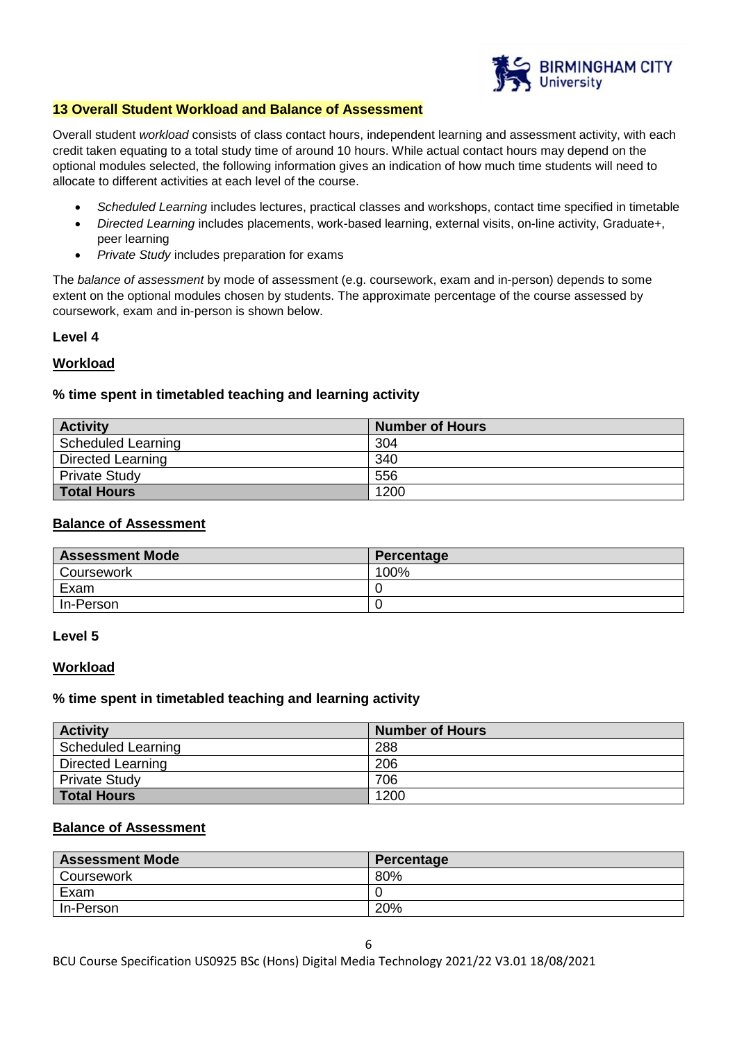

#### **13 Overall Student Workload and Balance of Assessment**

Overall student *workload* consists of class contact hours, independent learning and assessment activity, with each credit taken equating to a total study time of around 10 hours. While actual contact hours may depend on the optional modules selected, the following information gives an indication of how much time students will need to allocate to different activities at each level of the course.

- *Scheduled Learning* includes lectures, practical classes and workshops, contact time specified in timetable
- *Directed Learning* includes placements, work-based learning, external visits, on-line activity, Graduate+, peer learning
- *Private Study* includes preparation for exams

The *balance of assessment* by mode of assessment (e.g. coursework, exam and in-person) depends to some extent on the optional modules chosen by students. The approximate percentage of the course assessed by coursework, exam and in-person is shown below.

# **Level 4**

### **Workload**

# **% time spent in timetabled teaching and learning activity**

| <b>Activity</b>          | <b>Number of Hours</b> |
|--------------------------|------------------------|
| Scheduled Learning       | 304                    |
| <b>Directed Learning</b> | 340                    |
| <b>Private Study</b>     | 556                    |
| <b>Total Hours</b>       | 1200                   |

#### **Balance of Assessment**

| <b>Assessment Mode</b> | Percentage |
|------------------------|------------|
| Coursework             | 100%       |
| Exam                   |            |
| In-Person              |            |

#### **Level 5**

#### **Workload**

#### **% time spent in timetabled teaching and learning activity**

| <b>Activity</b>      | <b>Number of Hours</b> |
|----------------------|------------------------|
| Scheduled Learning   | 288                    |
| Directed Learning    | 206                    |
| <b>Private Study</b> | 706                    |
| <b>Total Hours</b>   | 1200                   |

### **Balance of Assessment**

| <b>Assessment Mode</b> | Percentage |
|------------------------|------------|
| Coursework             | 80%        |
| Exam                   |            |
| In-Person              | 20%        |